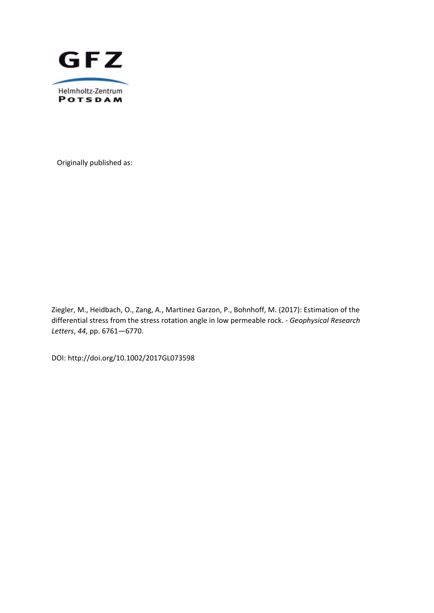

Originally published as:

Ziegler, M., Heidbach, O., Zang, A., Martinez Garzon, P., Bohnhoff, M. (2017): Estimation of the differential stress from the stress rotation angle in low permeable rock. *‐ Geophysical Research Letters*, *44*, pp. 6761—6770.

DOI: http://doi.org/10.1002/2017GL073598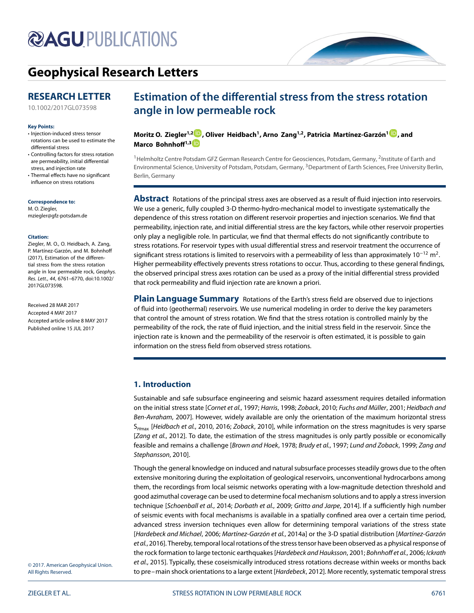# **@AGUPUBLICATIONS**

# **[Geophysical Research Letters](http://onlinelibrary.wiley.com/journal/10.1002/(ISSN)1944-8007)**

## **RESEARCH LETTER**

[10.1002/2017GL073598](http://dx.doi.org/10.1002/2017GL073598)

### **Key Points:**

- Injection-induced stress tensor rotations can be used to estimate the differential stress
- Controlling factors for stress rotation are permeability, initial differential stress, and injection rate
- Thermal effects have no significant influence on stress rotations

#### **Correspondence to:**

M. O. Ziegler, mziegler@gfz-potsdam.de

### **Citation:**

Ziegler, M. O., O. Heidbach, A. Zang, P. Martínez-Garzón, and M. Bohnhoff (2017), Estimation of the differential stress from the stress rotation angle in low permeable rock, Geophys. Res. Lett., 44, 6761–6770, doi:10.1002/ 2017GL073598.

Received 28 MAR 2017 Accepted 4 MAY 2017 Accepted article online 8 MAY 2017 Published online 15 JUL 2017

# **Estimation of the differential stress from the stress rotation angle in low permeable rock**

**Moritz O. Ziegler1,[2](http://orcid.org/0000-0002-2288-2820) , Oliver Heidbach1, Arno Zang1,2, Patricia Martínez-Garzón1 [,](http://orcid.org/0000-0003-4649-0386) and Marco Bohnhoff1,[3](http://orcid.org/0000-0001-7383-635X)**

<sup>1</sup> Helmholtz Centre Potsdam GFZ German Research Centre for Geosciences, Potsdam, Germany, <sup>2</sup>Institute of Earth and Environmental Science, University of Potsdam, Potsdam, Germany, 3Department of Earth Sciences, Free University Berlin, Berlin, Germany

**Abstract** Rotations of the principal stress axes are observed as a result of fluid injection into reservoirs. We use a generic, fully coupled 3-D thermo-hydro-mechanical model to investigate systematically the dependence of this stress rotation on different reservoir properties and injection scenarios. We find that permeability, injection rate, and initial differential stress are the key factors, while other reservoir properties only play a negligible role. In particular, we find that thermal effects do not significantly contribute to stress rotations. For reservoir types with usual differential stress and reservoir treatment the occurrence of significant stress rotations is limited to reservoirs with a permeability of less than approximately 10<sup>-12</sup> m<sup>2</sup>. Higher permeability effectively prevents stress rotations to occur. Thus, according to these general findings, the observed principal stress axes rotation can be used as a proxy of the initial differential stress provided that rock permeability and fluid injection rate are known a priori.

**Plain Language Summary** Rotations of the Earth's stress field are observed due to injections of fluid into (geothermal) reservoirs. We use numerical modeling in order to derive the key parameters that control the amount of stress rotation. We find that the stress rotation is controlled mainly by the permeability of the rock, the rate of fluid injection, and the initial stress field in the reservoir. Since the injection rate is known and the permeability of the reservoir is often estimated, it is possible to gain information on the stress field from observed stress rotations.

## **1. Introduction**

Sustainable and safe subsurface engineering and seismic hazard assessment requires detailed information on the initial stress state [Cornet et al., [1997;](#page-9-0) Harris, [1998;](#page-9-1) Zoback, [2010;](#page-10-0) Fuchs and Müller, [2001;](#page-9-2) Heidbach and Ben-Avraham, [2007\]](#page-9-3). However, widely available are only the orientation of the maximum horizontal stress  $S_{H_{\text{max}}}$  [Heidbach et al., [2010,](#page-9-4) [2016;](#page-9-5) Zoback, [2010\]](#page-10-0), while information on the stress magnitudes is very sparse [Zang et al., [2012\]](#page-10-1). To date, the estimation of the stress magnitudes is only partly possible or economically feasible and remains a challenge [Brown and Hoek, [1978;](#page-9-6) Brudy et al., [1997;](#page-9-7) Lund and Zoback, [1999;](#page-9-8) Zang and Stephansson, [2010\]](#page-10-2).

Though the general knowledge on induced and natural subsurface processes steadily grows due to the often extensive monitoring during the exploitation of geological reservoirs, unconventional hydrocarbons among them, the recordings from local seismic networks operating with a low-magnitude detection threshold and good azimuthal coverage can be used to determine focal mechanism solutions and to apply a stress inversion technique [Schoenball et al., [2014;](#page-9-9) Dorbath et al., [2009;](#page-9-10) Gritto and Jarpe, [2014\]](#page-9-11). If a sufficiently high number of seismic events with focal mechanisms is available in a spatially confined area over a certain time period, advanced stress inversion techniques even allow for determining temporal variations of the stress state [Hardebeck and Michael, [2006;](#page-9-12) Martínez-Garzón et al., [2014a\]](#page-9-13) or the 3-D spatial distribution [Martínez-Garzón et al., [2016\]](#page-9-14). Thereby, temporal local rotations of the stress tensor have been observed as a physical response of the rock formation to large tectonic earthquakes [Hardebeck and Hauksson, [2001;](#page-9-15) Bohnhoff et al., [2006;](#page-9-16) Ickrath et al., [2015\]](#page-9-17). Typically, these coseismically introduced stress rotations decrease within weeks or months back to pre-main shock orientations to a large extent [Hardebeck, [2012\]](#page-9-18). More recently, systematic temporal stress

© 2017. American Geophysical Union. All Rights Reserved.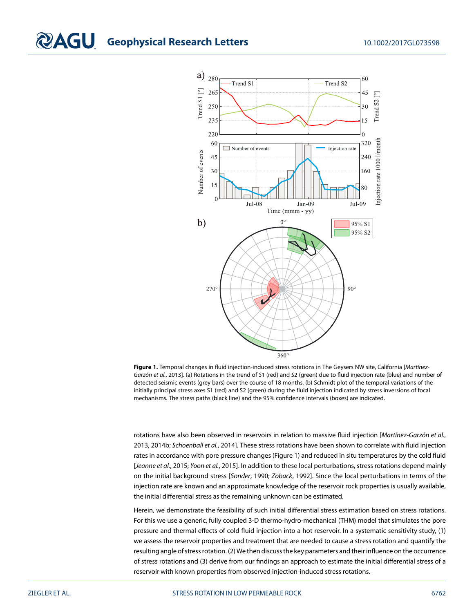

<span id="page-2-0"></span>Figure 1. Temporal changes in fluid injection-induced stress rotations in The Geysers NW site, California [Martínez-Garzón et al., [2013\]](#page-9-19). (a) Rotations in the trend of S1 (red) and S2 (green) due to fluid injection rate (blue) and number of detected seismic events (grey bars) over the course of 18 months. (b) Schmidt plot of the temporal variations of the initially principal stress axes S1 (red) and S2 (green) during the fluid injection indicated by stress inversions of focal mechanisms. The stress paths (black line) and the 95% confidence intervals (boxes) are indicated.

rotations have also been observed in reservoirs in relation to massive fluid injection [Martínez-Garzón et al., [2013,](#page-9-19) [2014b;](#page-9-20) Schoenball et al., [2014\]](#page-9-9). These stress rotations have been shown to correlate with fluid injection rates in accordance with pore pressure changes (Figure [1\)](#page-2-0) and reduced in situ temperatures by the cold fluid [Jeanne et al., [2015;](#page-9-21) Yoon et al., [2015\]](#page-10-3). In addition to these local perturbations, stress rotations depend mainly on the initial background stress [Sonder, [1990;](#page-10-4) Zoback, [1992\]](#page-10-5). Since the local perturbations in terms of the injection rate are known and an approximate knowledge of the reservoir rock properties is usually available, the initial differential stress as the remaining unknown can be estimated.

Herein, we demonstrate the feasibility of such initial differential stress estimation based on stress rotations. For this we use a generic, fully coupled 3-D thermo-hydro-mechanical (THM) model that simulates the pore pressure and thermal effects of cold fluid injection into a hot reservoir. In a systematic sensitivity study, (1) we assess the reservoir properties and treatment that are needed to cause a stress rotation and quantify the resulting angle of stress rotation. (2) We then discuss the key parameters and their influence on the occurrence of stress rotations and (3) derive from our findings an approach to estimate the initial differential stress of a reservoir with known properties from observed injection-induced stress rotations.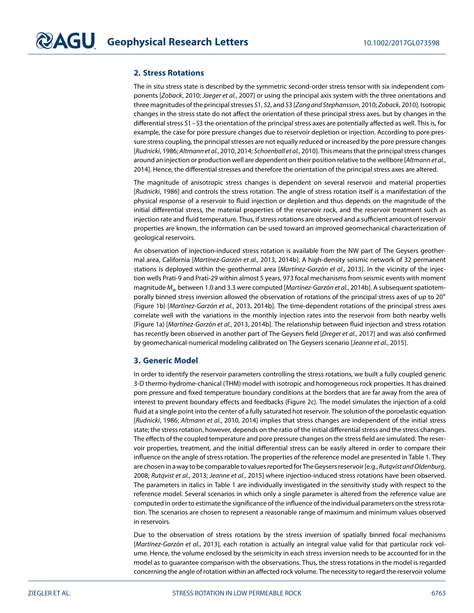## **2. Stress Rotations**

The in situ stress state is described by the symmetric second-order stress tensor with six independent components [Zoback, [2010;](#page-10-0) Jaeger et al., [2007\]](#page-9-22) or using the principal axis system with the three orientations and three magnitudes of the principal stresses S1, S2, and S3 [Zang and Stephansson, [2010;](#page-10-2) Zoback, [2010\]](#page-10-0). Isotropic changes in the stress state do not affect the orientation of these principal stress axes, but by changes in the differential stress S1–S3 the orientation of the principal stress axes are potentially affected as well. This is, for example, the case for pore pressure changes due to reservoir depletion or injection. According to pore pressure stress coupling, the principal stresses are not equally reduced or increased by the pore pressure changes [Rudnicki, [1986;](#page-9-23) Altmann et al., [2010,](#page-9-24) [2014;](#page-9-25) Schoenball et al., [2010\]](#page-9-26). This means that the principal stress changes around an injection or production well are dependent on their position relative to the wellbore [Altmann et al., [2014\]](#page-9-25). Hence, the differential stresses and therefore the orientation of the principal stress axes are altered.

The magnitude of anisotropic stress changes is dependent on several reservoir and material properties [Rudnicki, [1986\]](#page-9-23) and controls the stress rotation. The angle of stress rotation itself is a manifestation of the physical response of a reservoir to fluid injection or depletion and thus depends on the magnitude of the initial differential stress, the material properties of the reservoir rock, and the reservoir treatment such as injection rate and fluid temperature. Thus, if stress rotations are observed and a sufficient amount of reservoir properties are known, the information can be used toward an improved geomechanical characterization of geological reservoirs.

An observation of injection-induced stress rotation is available from the NW part of The Geysers geothermal area, California [Martínez-Garzón et al., [2013,](#page-9-19) [2014b\]](#page-9-20). A high-density seismic network of 32 permanent stations is deployed within the geothermal area [Martínez-Garzón et al., [2013\]](#page-9-19). In the vicinity of the injection wells Prati-9 and Prati-29 within almost 5 years, 973 focal mechanisms from seismic events with moment magnitude  $M_{\omega}$  between 1.0 and 3.3 were computed [*Martínez-Garzón et al.*, [2014b\]](#page-9-20). A subsequent spatiotemporally binned stress inversion allowed the observation of rotations of the principal stress axes of up to 20° (Figure [1b](#page-2-0)) [Martínez-Garzón et al., [2013,](#page-9-19) [2014b\]](#page-9-20). The time-dependent rotations of the principal stress axes correlate well with the variations in the monthly injection rates into the reservoir from both nearby wells (Figure [1a](#page-2-0)) [Martínez-Garzón et al., [2013,](#page-9-19) [2014b\]](#page-9-20). The relationship between fluid injection and stress rotation has recently been observed in another part of The Geysers field [Dreger et al., [2017\]](#page-9-27) and was also confirmed by geomechanical-numerical modeling calibrated on The Geysers scenario [Jeanne et al., [2015\]](#page-9-21).

## **3. Generic Model**

In order to identify the reservoir parameters controlling the stress rotations, we built a fully coupled generic 3-D thermo-hydrome-chanical (THM) model with isotropic and homogeneous rock properties. It has drained pore pressure and fixed temperature boundary conditions at the borders that are far away from the area of interest to prevent boundary effects and feedbacks (Figure [2c](#page-4-0)). The model simulates the injection of a cold fluid at a single point into the center of a fully saturated hot reservoir. The solution of the poroelastic equation [Rudnicki, [1986;](#page-9-23) Altmann et al., [2010,](#page-9-24) [2014\]](#page-9-25) implies that stress changes are independent of the initial stress state; the stress rotation, however, depends on the ratio of the initial differential stress and the stress changes. The effects of the coupled temperature and pore pressure changes on the stress field are simulated. The reservoir properties, treatment, and the initial differential stress can be easily altered in order to compare their influence on the angle of stress rotation. The properties of the reference model are presented in Table [1.](#page-5-0) They are chosen in a way to be comparable to values reported for The Geysers reservoir [e.g., Rutqvist and Oldenburg, [2008;](#page-9-28) Rutqvist et al., [2013;](#page-9-29) Jeanne et al., [2015\]](#page-9-21) where injection-induced stress rotations have been observed. The parameters in italics in Table [1](#page-5-0) are individually investigated in the sensitivity study with respect to the reference model. Several scenarios in which only a single parameter is altered from the reference value are computed in order to estimate the significance of the influence of the individual parameters on the stress rotation. The scenarios are chosen to represent a reasonable range of maximum and minimum values observed in reservoirs.

Due to the observation of stress rotations by the stress inversion of spatially binned focal mechanisms [Martínez-Garzón et al., [2013\]](#page-9-19), each rotation is actually an integral value valid for that particular rock volume. Hence, the volume enclosed by the seismicity in each stress inversion needs to be accounted for in the model as to guarantee comparison with the observations. Thus, the stress rotations in the model is regarded concerning the angle of rotation within an affected rock volume. The necessity to regard the reservoir volume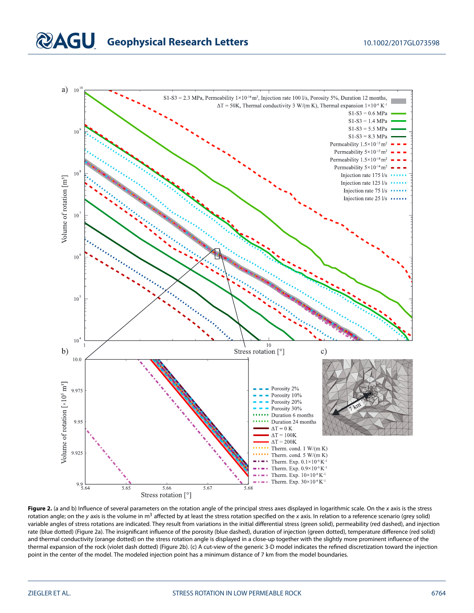# **CAGU** Geophysical Research Letters 10.1002/2017GL073598



<span id="page-4-0"></span>Figure 2. (a and b) Influence of several parameters on the rotation angle of the principal stress axes displayed in logarithmic scale. On the x axis is the stress rotation angle; on the y axis is the volume in  $m<sup>3</sup>$  affected by at least the stress rotation specified on the x axis. In relation to a reference scenario (grey solid) variable angles of stress rotations are indicated. They result from variations in the initial differential stress (green solid), permeability (red dashed), and injection rate (blue dotted) (Figure [2a](#page-4-0)). The insignificant influence of the porosity (blue dashed), duration of injection (green dotted), temperature difference (red solid) and thermal conductivity (orange dotted) on the stress rotation angle is displayed in a close-up together with the slightly more prominent influence of the thermal expansion of the rock (violet dash dotted) (Figure [2b](#page-4-0)). (c) A cut-view of the generic 3-D model indicates the refined discretization toward the injection point in the center of the model. The modeled injection point has a minimum distance of 7 km from the model boundaries.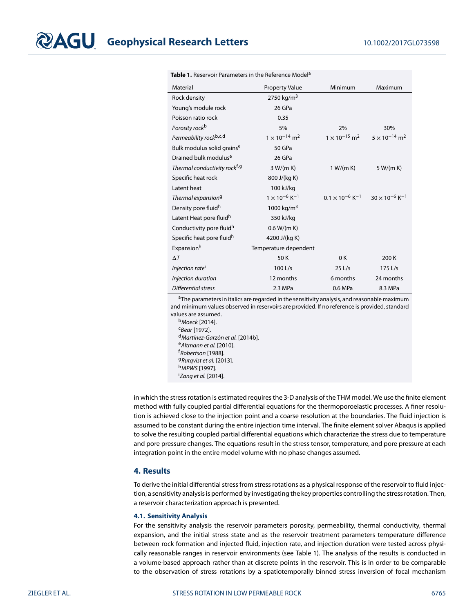<span id="page-5-0"></span>

| Material                                  | <b>Property Value</b>              | Minimum                                                                           | Maximum                            |
|-------------------------------------------|------------------------------------|-----------------------------------------------------------------------------------|------------------------------------|
| Rock density                              | 2750 kg/m <sup>3</sup>             |                                                                                   |                                    |
| Young's module rock                       | 26 GPa                             |                                                                                   |                                    |
| Poisson ratio rock                        | 0.35                               |                                                                                   |                                    |
| Porosity rock <sup>b</sup>                | 5%                                 | 2%                                                                                | 30%                                |
| Permeability rockb,c,d                    | $1 \times 10^{-14}$ m <sup>2</sup> | $1 \times 10^{-15}$ m <sup>2</sup>                                                | $5 \times 10^{-14}$ m <sup>2</sup> |
| Bulk modulus solid grains <sup>e</sup>    | 50 GPa                             |                                                                                   |                                    |
| Drained bulk modulus <sup>e</sup>         | 26 GPa                             |                                                                                   |                                    |
| Thermal conductivity rock <sup>t, g</sup> | 3 W/(m K)                          | 1 W/(m K)                                                                         | 5 W/(m K)                          |
| Specific heat rock                        | 800 J/(kg K)                       |                                                                                   |                                    |
| Latent heat                               | 100 kJ/kg                          |                                                                                   |                                    |
| Thermal expansion <sup>g</sup>            | $1 \times 10^{-6}$ K <sup>-1</sup> | $0.1 \times 10^{-6}$ K <sup>-1</sup> 30 $\times$ 10 <sup>-6</sup> K <sup>-1</sup> |                                    |
| Density pore fluid <sup>h</sup>           | 1000 kg/m <sup>3</sup>             |                                                                                   |                                    |
| Latent Heat pore fluid <sup>h</sup>       | 350 kJ/kg                          |                                                                                   |                                    |
| Conductivity pore fluid <sup>h</sup>      | 0.6 W/(m K)                        |                                                                                   |                                    |
| Specific heat pore fluid <sup>h</sup>     | 4200 J/(kg K)                      |                                                                                   |                                    |
| Expansion <sup>h</sup>                    | Temperature dependent              |                                                                                   |                                    |
| $\Delta T$                                | 50K                                | 0K                                                                                | 200 K                              |
| Injection rate <sup>1</sup>               | $100$ L/s                          | 25 L/s                                                                            | $175$ L/s                          |
| Injection duration                        | 12 months                          | 6 months                                                                          | 24 months                          |
| Differential stress                       | 2.3 MPa                            | 0.6 MPa                                                                           | 8.3 MPa                            |

T[a](#page-5-0)ble 1. Reservoir Parameters in the Reference Model<sup>a</sup>

<sup>a</sup>The parameters in italics are regarded in the sensitivity analysis, and reasonable maximum and minimum values observed in reservoirs are provided. If no reference is provided, standard values are assumed.

<sup>b</sup>Moeck [\[2014\]](#page-9-30).

 $c$ Bear [\[1972\]](#page-9-31).

- <sup>d</sup>Martínez-Garzón et al. [\[2014b\]](#page-9-20).
- e Altmann et al. [\[2010\]](#page-9-24).

<sup>f</sup> Robertson [\[1988\]](#page-9-32).

- <sup>g</sup>Rutqvist et al. [\[2013\]](#page-9-29).
- h<sub>IAPWS</sub> [\[1997\]](#page-9-33).
- <sup>i</sup>Zang et al. [\[2014\]](#page-10-6).

in which the stress rotation is estimated requires the 3-D analysis of the THM model. We use the finite element method with fully coupled partial differential equations for the thermoporoelastic processes. A finer resolution is achieved close to the injection point and a coarse resolution at the boundaries. The fluid injection is assumed to be constant during the entire injection time interval. The finite element solver Abaqus is applied to solve the resulting coupled partial differential equations which characterize the stress due to temperature and pore pressure changes. The equations result in the stress tensor, temperature, and pore pressure at each integration point in the entire model volume with no phase changes assumed.

### **4. Results**

To derive the initial differential stress from stress rotations as a physical response of the reservoir to fluid injection, a sensitivity analysis is performed by investigating the key properties controlling the stress rotation. Then, a reservoir characterization approach is presented.

### **4.1. Sensitivity Analysis**

For the sensitivity analysis the reservoir parameters porosity, permeability, thermal conductivity, thermal expansion, and the initial stress state and as the reservoir treatment parameters temperature difference between rock formation and injected fluid, injection rate, and injection duration were tested across physically reasonable ranges in reservoir environments (see Table [1\)](#page-5-0). The analysis of the results is conducted in a volume-based approach rather than at discrete points in the reservoir. This is in order to be comparable to the observation of stress rotations by a spatiotemporally binned stress inversion of focal mechanism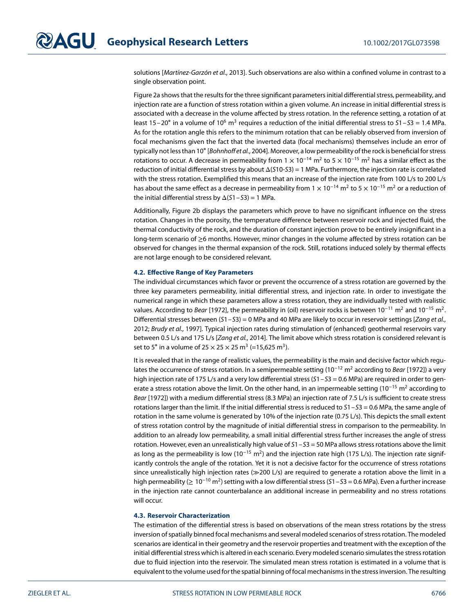solutions [Martínez-Garzón et al., [2013\]](#page-9-19). Such observations are also within a confined volume in contrast to a single observation point.

Figure [2a](#page-4-0) shows that the results for the three significant parameters initial differential stress, permeability, and injection rate are a function of stress rotation within a given volume. An increase in initial differential stress is associated with a decrease in the volume affected by stress rotation. In the reference setting, a rotation of at least 15–20° in a volume of 10<sup>6</sup> m<sup>3</sup> requires a reduction of the initial differential stress to  $S1 - S3 = 1.4$  MPa. As for the rotation angle this refers to the minimum rotation that can be reliably observed from inversion of focal mechanisms given the fact that the inverted data (focal mechanisms) themselves include an error of typically not less than 10∘ [Bohnhoff et al., [2004\]](#page-9-34). Moreover, a low permeability of the rock is beneficial for stress rotations to occur. A decrease in permeability from  $1 \times 10^{-14}$  m<sup>2</sup> to  $5 \times 10^{-15}$  m<sup>2</sup> has a similar effect as the reduction of initial differential stress by about Δ(S10-S3) = 1 MPa. Furthermore, the injection rate is correlated with the stress rotation. Exemplified this means that an increase of the injection rate from 100 L/s to 200 L/s has about the same effect as a decrease in permeability from  $1 \times 10^{-14}$  m<sup>2</sup> to  $5 \times 10^{-15}$  m<sup>2</sup> or a reduction of the initial differential stress by  $\Delta(S1-S3) = 1$  MPa.

Additionally, Figure [2b](#page-4-0) displays the parameters which prove to have no significant influence on the stress rotation. Changes in the porosity, the temperature difference between reservoir rock and injected fluid, the thermal conductivity of the rock, and the duration of constant injection prove to be entirely insignificant in a long-term scenario of ≥6 months. However, minor changes in the volume affected by stress rotation can be observed for changes in the thermal expansion of the rock. Still, rotations induced solely by thermal effects are not large enough to be considered relevant.

### **4.2. Effective Range of Key Parameters**

The individual circumstances which favor or prevent the occurrence of a stress rotation are governed by the three key parameters permeability, initial differential stress, and injection rate. In order to investigate the numerical range in which these parameters allow a stress rotation, they are individually tested with realistic values. According to Bear [\[1972\]](#page-9-31), the permeability in (oil) reservoir rocks is between 10<sup>-11</sup> m<sup>2</sup> and 10<sup>-15</sup> m<sup>2</sup>. Differential stresses between (S1 - S3) = 0 MPa and 40 MPa are likely to occur in reservoir settings [Zang et al., [2012;](#page-10-1) Brudy et al., [1997\]](#page-9-7). Typical injection rates during stimulation of (enhanced) geothermal reservoirs vary between 0.5 L/s and 175 L/s [Zang et al., [2014\]](#page-10-6). The limit above which stress rotation is considered relevant is set to 5° in a volume of 25  $\times$  25  $\times$  25 m<sup>3</sup> (=15,625 m<sup>3</sup>).

It is revealed that in the range of realistic values, the permeability is the main and decisive factor which regu-lates the occurrence of stress rotation. In a semipermeable setting (10<sup>-12</sup> m<sup>2</sup> according to Bear [\[1972\]](#page-9-31)) a very high injection rate of 175 L/s and a very low differential stress (S1-S3 = 0.6 MPa) are required in order to generate a stress rotation above the limit. On the other hand, in an impermeable setting (10<sup>-15</sup> m<sup>2</sup> according to Bear [\[1972\]](#page-9-31)) with a medium differential stress (8.3 MPa) an injection rate of 7.5 L/s is sufficient to create stress rotations larger than the limit. If the initial differential stress is reduced to  $S1 - S3 = 0.6$  MPa, the same angle of rotation in the same volume is generated by 10% of the injection rate (0.75 L/s). This depicts the small extent of stress rotation control by the magnitude of initial differential stress in comparison to the permeability. In addition to an already low permeability, a small initial differential stress further increases the angle of stress rotation. However, even an unrealistically high value of  $S1 - S3 = 50$  MPa allows stress rotations above the limit as long as the permeability is low (10<sup>-15</sup> m<sup>2</sup>) and the injection rate high (175 L/s). The injection rate significantly controls the angle of the rotation. Yet it is not a decisive factor for the occurrence of stress rotations since unrealistically high injection rates (*≫*200 L/s) are required to generate a rotation above the limit in a high permeability (≥ 10<sup>−</sup><sup>10</sup> m2) setting with a low differential stress (S1–S3 = 0.6 MPa). Even a further increase in the injection rate cannot counterbalance an additional increase in permeability and no stress rotations will occur.

### **4.3. Reservoir Characterization**

The estimation of the differential stress is based on observations of the mean stress rotations by the stress inversion of spatially binned focal mechanisms and several modeled scenarios of stress rotation. The modeled scenarios are identical in their geometry and the reservoir properties and treatment with the exception of the initial differential stress which is altered in each scenario. Every modeled scenario simulates the stress rotation due to fluid injection into the reservoir. The simulated mean stress rotation is estimated in a volume that is equivalent to the volume used for the spatial binning of focal mechanisms in the stress inversion. The resulting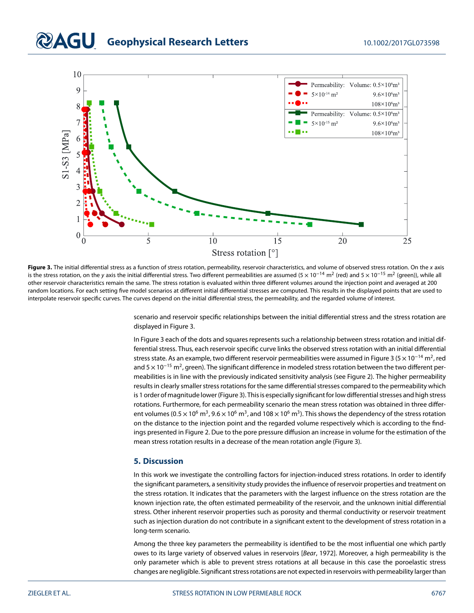## **@AGU** Geophysical Research Letters 10.1002/2017GL073598



<span id="page-7-0"></span>Figure 3. The initial differential stress as a function of stress rotation, permeability, reservoir characteristics, and volume of observed stress rotation. On the x axis is the stress rotation, on the y axis the initial differential stress. Two different permeabilities are assumed (5 × 10<sup>-14</sup> m<sup>2</sup> (red) and 5 × 10<sup>-15</sup> m<sup>2</sup> (green)), while all other reservoir characteristics remain the same. The stress rotation is evaluated within three different volumes around the injection point and averaged at 200 random locations. For each setting five model scenarios at different initial differential stresses are computed. This results in the displayed points that are used to interpolate reservoir specific curves. The curves depend on the initial differential stress, the permeability, and the regarded volume of interest.

scenario and reservoir specific relationships between the initial differential stress and the stress rotation are displayed in Figure [3.](#page-7-0)

In Figure [3](#page-7-0) each of the dots and squares represents such a relationship between stress rotation and initial differential stress. Thus, each reservoir specific curve links the observed stress rotation with an initial differential stress state. As an example, two different reservoir permeabilities were assumed in Figure [3](#page-7-0) (5 × 10<sup>−14</sup> m<sup>2</sup>, red and 5 × 10<sup>-15</sup> m<sup>2</sup>, green). The significant difference in modeled stress rotation between the two different permeabilities is in line with the previously indicated sensitivity analysis (see Figure [2\)](#page-4-0). The higher permeability results in clearly smaller stress rotations for the same differential stresses compared to the permeability which is 1 order of magnitude lower (Figure [3\)](#page-7-0). This is especially significant for low differential stresses and high stress rotations. Furthermore, for each permeability scenario the mean stress rotation was obtained in three different volumes ( $0.5 \times 10^6$  m<sup>3</sup>,  $9.6 \times 10^6$  m<sup>3</sup>, and  $108 \times 10^6$  m<sup>3</sup>). This shows the dependency of the stress rotation on the distance to the injection point and the regarded volume respectively which is according to the findings presented in Figure [2.](#page-4-0) Due to the pore pressure diffusion an increase in volume for the estimation of the mean stress rotation results in a decrease of the mean rotation angle (Figure [3\)](#page-7-0).

### **5. Discussion**

In this work we investigate the controlling factors for injection-induced stress rotations. In order to identify the significant parameters, a sensitivity study provides the influence of reservoir properties and treatment on the stress rotation. It indicates that the parameters with the largest influence on the stress rotation are the known injection rate, the often estimated permeability of the reservoir, and the unknown initial differential stress. Other inherent reservoir properties such as porosity and thermal conductivity or reservoir treatment such as injection duration do not contribute in a significant extent to the development of stress rotation in a long-term scenario.

Among the three key parameters the permeability is identified to be the most influential one which partly owes to its large variety of observed values in reservoirs [Bear, [1972\]](#page-9-31). Moreover, a high permeability is the only parameter which is able to prevent stress rotations at all because in this case the poroelastic stress changes are negligible. Significant stress rotations are not expected in reservoirs with permeability larger than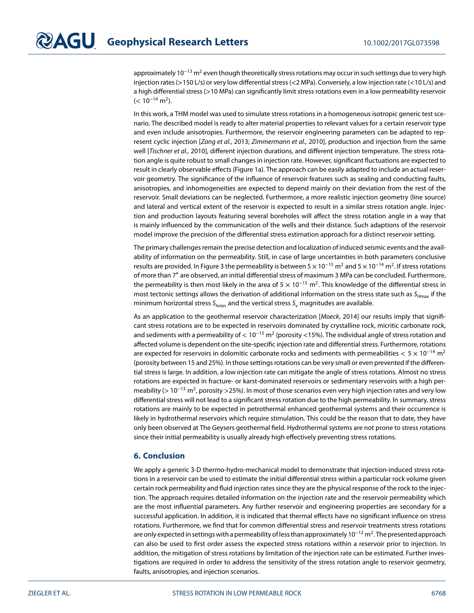approximately 10<sup>-13</sup> m<sup>2</sup> even though theoretically stress rotations may occur in such settings due to very high injection rates (*>*150 L/s) or very low differential stress (*<*2 MPa). Conversely, a low injection rate (*<*10 L/s) and a high differential stress (*>*10 MPa) can significantly limit stress rotations even in a low permeability reservoir (*<* 10<sup>−</sup><sup>14</sup> m2).

In this work, a THM model was used to simulate stress rotations in a homogeneous isotropic generic test scenario. The described model is ready to alter material properties to relevant values for a certain reservoir type and even include anisotropies. Furthermore, the reservoir engineering parameters can be adapted to rep-resent cyclic injection [Zang et al., [2013;](#page-10-7) Zimmermann et al., [2010\]](#page-10-8), production and injection from the same well [Tischner et al., [2010\]](#page-10-9), different injection durations, and different injection temperature. The stress rotation angle is quite robust to small changes in injection rate. However, significant fluctuations are expected to result in clearly observable effects (Figure [1a](#page-2-0)). The approach can be easily adapted to include an actual reservoir geometry. The significance of the influence of reservoir features such as sealing and conducting faults, anisotropies, and inhomogeneities are expected to depend mainly on their deviation from the rest of the reservoir. Small deviations can be neglected. Furthermore, a more realistic injection geometry (line source) and lateral and vertical extent of the reservoir is expected to result in a similar stress rotation angle. Injection and production layouts featuring several boreholes will affect the stress rotation angle in a way that is mainly influenced by the communication of the wells and their distance. Such adaptions of the reservoir model improve the precision of the differential stress estimation approach for a distinct reservoir setting.

The primary challenges remain the precise detection and localization of induced seismic events and the availability of information on the permeability. Still, in case of large uncertainties in both parameters conclusive results are provided. In Figure [3](#page-7-0) the permeability is between  $5 \times 10^{-15}$  m<sup>2</sup> and  $5 \times 10^{-14}$  m<sup>2</sup>. If stress rotations of more than 7∘ are observed, an initial differential stress of maximum 3 MPa can be concluded. Furthermore, the permeability is then most likely in the area of 5  $\times$  10<sup>-15</sup> m<sup>2</sup>. This knowledge of the differential stress in most tectonic settings allows the derivation of additional information on the stress state such as  $S_{Hmax}$  if the minimum horizontal stress  $S_{hmin}$  and the vertical stress  $S_v$  magnitudes are available.

As an application to the geothermal reservoir characterization [Moeck, [2014\]](#page-9-30) our results imply that significant stress rotations are to be expected in reservoirs dominated by crystalline rock, micritic carbonate rock, and sediments with a permeability of *<* 10<sup>−</sup><sup>15</sup> m2 (porosity *<*15%). The individual angle of stress rotation and affected volume is dependent on the site-specific injection rate and differential stress. Furthermore, rotations are expected for reservoirs in dolomitic carbonate rocks and sediments with permeabilities *<* 5 × 10<sup>−</sup><sup>14</sup> m<sup>2</sup> (porosity between 15 and 25%). In those settings rotations can be very small or even prevented if the differential stress is large. In addition, a low injection rate can mitigate the angle of stress rotations. Almost no stress rotations are expected in fracture- or karst-dominated reservoirs or sedimentary reservoirs with a high permeability (*>*10<sup>−</sup><sup>13</sup> m2, porosity *>*25%). In most of those scenarios even very high injection rates and very low differential stress will not lead to a significant stress rotation due to the high permeability. In summary, stress rotations are mainly to be expected in petrothermal enhanced geothermal systems and their occurrence is likely in hydrothermal reservoirs which require stimulation. This could be the reason that to date, they have only been observed at The Geysers geothermal field. Hydrothermal systems are not prone to stress rotations since their initial permeability is usually already high effectively preventing stress rotations.

### **6. Conclusion**

We apply a generic 3-D thermo-hydro-mechanical model to demonstrate that injection-induced stress rotations in a reservoir can be used to estimate the initial differential stress within a particular rock volume given certain rock permeability and fluid injection rates since they are the physical response of the rock to the injection. The approach requires detailed information on the injection rate and the reservoir permeability which are the most influential parameters. Any further reservoir and engineering properties are secondary for a successful application. In addition, it is indicated that thermal effects have no significant influence on stress rotations. Furthermore, we find that for common differential stress and reservoir treatments stress rotations are only expected in settings with a permeability of less than approximately  $10^{-12}$  m<sup>2</sup>. The presented approach can also be used to first order assess the expected stress rotations within a reservoir prior to injection. In addition, the mitigation of stress rotations by limitation of the injection rate can be estimated. Further investigations are required in order to address the sensitivity of the stress rotation angle to reservoir geometry, faults, anisotropies, and injection scenarios.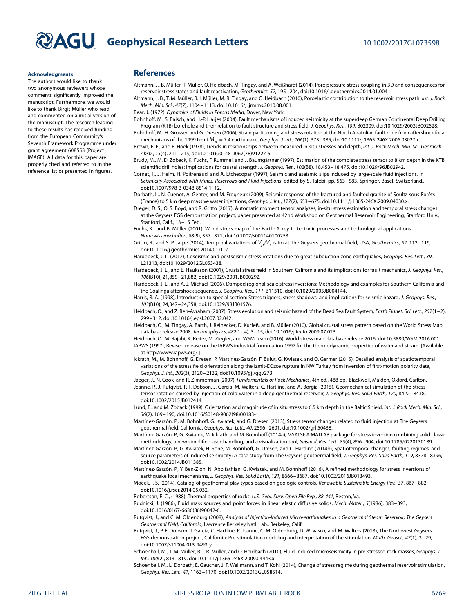#### **Acknowledgments**

The authors would like to thank two anonymous reviewers whose comments significantly improved the manuscript. Furthermore, we would like to thank Birgit Müller who read and commented on a initial version of the manuscript. The research leading to these results has received funding from the European Community's Seventh Framework Programme under grant agreement 608553 (Project IMAGE). All data for this paper are properly cited and referred to in the reference list or presented in figures.

### <span id="page-9-25"></span>**References**

Altmann, J., B. Müller, T. Müller, O. Heidbach, M. Tingay, and A. Weißhardt (2014), Pore pressure stress coupling in 3D and consequences for reservoir stress states and fault reactivation, Geothermics, 52, 195–204, doi[:10.1016/j.geothermics.2014.01.004.](http://dx.doi.org/10.1016/j.geothermics.2014.01.004)

<span id="page-9-24"></span>Altmann, J. B., T. M. Müller, B. I. Müller, M. R. Tingay, and O. Heidbach (2010), Poroelastic contribution to the reservoir stress path, Int. J. Rock Mech. Min. Sci., 47(7), 1104–1113, doi[:10.1016/j.ijrmms.2010.08.001.](http://dx.doi.org/10.1016/j.ijrmms.2010.08.001)

<span id="page-9-34"></span><span id="page-9-31"></span>Bear, J. (1972), Dynamics of Fluids in Porous Media, Dover, New York.

Bohnhoff, M., S. Baisch, and H.-P. Harjes (2004), Fault mechanisms of induced seismicity at the superdeep German Continental Deep Drilling Program (KTB) borehole and their relation to fault structure and stress field, J. Geophys. Res., 109, B02309, doi[:10.1029/2003JB002528.](http://dx.doi.org/10.1029/2003JB002528)

<span id="page-9-16"></span>Bohnhoff, M., H. Grosser, and G. Dresen (2006), Strain partitioning and stress rotation at the North Anatolian fault zone from aftershock focal mechanisms of the 1999 Izmit  $M_w = 7.4$  earthquake, Geophys. J. Int., 166(1), 373-385, doi[:10.1111/j.1365-246X.2006.03027.x.](http://dx.doi.org/10.1111/j.1365-246X.2006.03027.x)

<span id="page-9-6"></span>Brown, E. E., and E. Hoek (1978), Trends in relationships between measured in-situ stresses and depth, Int. J. Rock Mech. Min. Sci. Geomech. Abstr., 15(4), 211–215, doi[:10.1016/0148-9062\(78\)91227-5.](http://dx.doi.org/10.1016/0148-9062(78)91227-5)

<span id="page-9-7"></span>Brudy, M., M. D. Zoback, K. Fuchs, F. Rummel, and J. Baumgärtner (1997), Estimation of the complete stress tensor to 8 km depth in the KTB scientific drill holes: Implications for crustal strength, J. Geophys. Res., 102(B8), 18,453–18,475, doi[:10.1029/96JB02942.](http://dx.doi.org/10.1029/96JB02942)

<span id="page-9-0"></span>Cornet, F., J. Helm, H. Poitrenaud, and A. Etchecopar (1997), Seismic and aseismic slips induced by large-scale fluid injections, in Seismicity Associated with Mines, Reservoirs and Fluid Injections, edited by S. Talebi, pp. 563–583, Springer, Basel, Switzerland., doi[:10.1007/978-3-0348-8814-1\\_12.](http://dx.doi.org/10.1007/978-3-0348-8814-1_12)

<span id="page-9-10"></span>Dorbath, L., N. Cuenot, A. Genter, and M. Frogneux (2009), Seismic response of the fractured and faulted granite of Soultz-sous-Forêts (France) to 5 km deep massive water injections, Geophys. J. Int., 177(2), 653–675, doi[:10.1111/j.1365-246X.2009.04030.x.](http://dx.doi.org/10.1111/j.1365-246X.2009.04030.x)

<span id="page-9-27"></span>Dreger, D. S., O. S. Boyd, and R. Gritto (2017), Automatic moment tensor analyses, in-situ stress estimation and temporal stress changes at the Geysers EGS demonstration project, paper presented at 42nd Workshop on Geothermal Reservoir Engineering, Stanford Univ., Stanford, Calif., 13–15 Feb.

<span id="page-9-2"></span>Fuchs, K., and B. Müller (2001), World stress map of the Earth: A key to tectonic processes and technological applications, Naturwissenschaften, 88(9), 357–371, doi[:10.1007/s001140100253.](http://dx.doi.org/10.1007/s001140100253)

<span id="page-9-11"></span>Gritto, R., and S. P. Jarpe (2014), Temporal variations of  $V_p/V_s$ -ratio at The Geysers geothermal field, USA, Geothermics, 52, 112-119, doi[:10.1016/j.geothermics.2014.01.012.](http://dx.doi.org/10.1016/j.geothermics.2014.01.012)

<span id="page-9-18"></span>Hardebeck, J. L. (2012), Coseismic and postseismic stress rotations due to great subduction zone earthquakes, Geophys. Res. Lett., 39, L21313, doi[:10.1029/2012GL053438.](http://dx.doi.org/10.1029/2012GL053438)

<span id="page-9-15"></span>Hardebeck, J. L., and E. Hauksson (2001), Crustal stress field in Southern California and its implications for fault mechanics, J. Geophys. Res., 106(B10), 21,859–21,882, doi[:10.1029/2001JB000292.](http://dx.doi.org/10.1029/2001JB000292)

<span id="page-9-12"></span>Hardebeck, J. L., and A. J. Michael (2006), Damped regional-scale stress inversions: Methodology and examples for Southern California and the Coalinga aftershock sequence, J. Geophys. Res., 111, B11310, doi[:10.1029/2005JB004144.](http://dx.doi.org/10.1029/2005JB004144)

<span id="page-9-1"></span>Harris, R. A. (1998), Introduction to special section: Stress triggers, stress shadows, and implications for seismic hazard, J. Geophys. Res., 103(B10), 24,347–24,358, doi[:10.1029/98JB01576.](http://dx.doi.org/10.1029/98JB01576)

<span id="page-9-3"></span>Heidbach, O., and Z. Ben-Avraham (2007), Stress evolution and seismic hazard of the Dead Sea Fault System, Earth Planet. Sci. Lett., 257(1-2), 299–312, doi[:10.1016/j.epsl.2007.02.042.](http://dx.doi.org/10.1016/j.epsl.2007.02.042)

<span id="page-9-4"></span>Heidbach, O., M. Tingay, A. Barth, J. Reinecker, D. Kurfeß, and B. Müller (2010), Global crustal stress pattern based on the World Stress Map database release 2008, Tectonophysics, 482(1–4), 3–15, doi[:10.1016/j.tecto.2009.07.023.](http://dx.doi.org/10.1016/j.tecto.2009.07.023)

<span id="page-9-33"></span><span id="page-9-5"></span>Heidbach, O., M. Rajabi, K. Reiter, M. Ziegler, and WSM Team (2016), World stress map database release 2016, doi[:10.5880/WSM.2016.001.](http://dx.doi.org/10.5880/WSM.2016.001) IAPWS (1997), Revised release on the IAPWS industrial formulation 1997 for the thermodynamic properties of water and steam. [Available at [http://www.iapws.org/.](http://www.iapws.org/)]

<span id="page-9-17"></span>Ickrath, M., M. Bohnhoff, G. Dresen, P. Martínez-Garzón, F. Bulut, G. Kwiatek, and O. Germer (2015), Detailed analysis of spatiotemporal variations of the stress field orientation along the Izmit-Düzce rupture in NW Turkey from inversion of first-motion polarity data, Geophys. J. Int., 202(3), 2120–2132, doi[:10.1093/gji/ggv273.](http://dx.doi.org/10.1093/gji/ggv273)

<span id="page-9-22"></span><span id="page-9-21"></span>Jaeger, J., N. Cook, and R. Zimmerman (2007), Fundamentals of Rock Mechanics, 4th ed., 488 pp., Blackwell, Malden, Oxford, Carlton.

Jeanne, P., J. Rutqvist, P. F. Dobson, J. Garcia, M. Walters, C. Hartline, and A. Borgia (2015), Geomechanical simulation of the stress tensor rotation caused by injection of cold water in a deep geothermal reservoir, J. Geophys. Res. Solid Earth, 120, 8422-8438, doi[:10.1002/2015JB012414.](http://dx.doi.org/10.1002/2015JB012414)

<span id="page-9-8"></span>Lund, B., and M. Zoback (1999), Orientation and magnitude of in situ stress to 6.5 km depth in the Baltic Shield, Int. J. Rock Mech. Min. Sci., 36(2), 169–190, doi[:10.1016/S0148-9062\(98\)00183-1.](http://dx.doi.org/10.1016/S0148-9062(98)00183-1)

<span id="page-9-19"></span>Martínez-Garzón, P., M. Bohnhoff, G. Kwiatek, and G. Dresen (2013), Stress tensor changes related to fluid injection at The Geysers geothermal field, California, Geophys. Res. Lett., 40, 2596–2601, doi[:10.1002/grl.50438.](http://dx.doi.org/10.1002/grl.50438)

<span id="page-9-13"></span>Martínez-Garzón, P., G. Kwiatek, M. Ickrath, and M. Bohnhoff (2014a), MSATSI: A MATLAB package for stress inversion combining solid classic methodology, a new simplified user-handling, and a visualization tool, Seismol. Res. Lett., 85(4), 896–904, doi[:10.1785/0220130189.](http://dx.doi.org/10.1785/0220130189)

<span id="page-9-20"></span>Martínez-Garzón, P., G. Kwiatek, H. Sone, M. Bohnhoff, G. Dresen, and C. Hartline (2014b), Spatiotemporal changes, faulting regimes, and source parameters of induced seismicity: A case study from The Geysers geothermal field, J. Geophys. Res. Solid Earth, 119, 8378-8396, doi[:10.1002/2014JB011385.](http://dx.doi.org/10.1002/2014JB011385)

<span id="page-9-14"></span>Martínez-Garzón, P., Y. Ben-Zion, N. Abolfathian, G. Kwiatek, and M. Bohnhoff (2016), A refined methodology for stress inversions of earthquake focal mechanisms, J. Geophys. Res. Solid Earth, 121, 8666-8687, doi[:10.1002/2016JB013493.](http://dx.doi.org/10.1002/2016JB013493)

<span id="page-9-30"></span>Moeck, I. S. (2014), Catalog of geothermal play types based on geologic controls, Renewable Sustainable Energy Rev., 37, 867–882, doi[:10.1016/j.rser.2014.05.032.](http://dx.doi.org/10.1016/j.rser.2014.05.032)

<span id="page-9-32"></span><span id="page-9-23"></span>Robertson, E. C., (1988), Thermal properties of rocks, U.S. Geol. Surv. Open File Rep., 88-441, Reston, Va.

Rudnicki, J. (1986), Fluid mass sources and point forces in linear elastic diffusive solids, Mech. Mater., 5(1986), 383–393, doi[:10.1016/0167-6636\(86\)90042-6.](http://dx.doi.org/10.1016/0167-6636(86)90042-6)

<span id="page-9-28"></span>Rutqvist, J., and C. M. Oldenburg (2008), Analysis of Injection-Induced Micro-earthquakes in a Geothermal Steam Reservoir, The Geysers Geothermal Field, California, Lawrence Berkeley Natl. Lab., Berkeley, Calif.

<span id="page-9-29"></span>Rutqvist, J., P. F. Dobson, J. Garcia, C. Hartline, P. Jeanne, C. M. Oldenburg, D. W. Vasco, and M. Walters (2013), The Northwest Geysers EGS demonstration project, California: Pre-stimulation modeling and interpretation of the stimulation, Math. Geosci., 47(1), 3–29, doi[:10.1007/s11004-013-9493-y.](http://dx.doi.org/10.1007/s11004-013-9493-y)

<span id="page-9-26"></span>Schoenball, M., T. M. Müller, B. I. R. Müller, and O. Heidbach (2010), Fluid-induced microseismicity in pre-stressed rock masses, Geophys. J. Int., 180(2), 813–819, doi[:10.1111/j.1365-246X.2009.04443.x.](http://dx.doi.org/10.1111/j.1365-246X.2009.04443.x)

<span id="page-9-9"></span>Schoenball, M., L. Dorbath, E. Gaucher, J. F. Wellmann, and T. Kohl (2014), Change of stress regime during geothermal reservoir stimulation, Geophys. Res. Lett., 41, 1163–1170, doi[:10.1002/2013GL058514.](http://dx.doi.org/10.1002/2013GL058514)